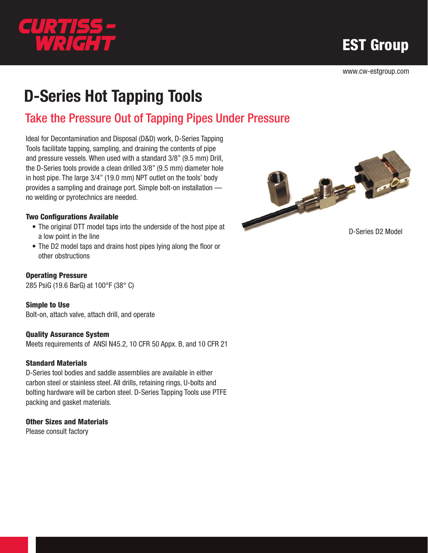

EST Group

www.cw-estgroup.com

# D-Series Hot Tapping Tools

# Take the Pressure Out of Tapping Pipes Under Pressure

Ideal for Decontamination and Disposal (D&D) work, D-Series Tapping Tools facilitate tapping, sampling, and draining the contents of pipe and pressure vessels. When used with a standard 3/8" (9.5 mm) Drill, the D-Series tools provide a clean drilled 3/8" (9.5 mm) diameter hole in host pipe. The large 3/4" (19.0 mm) NPT outlet on the tools' body provides a sampling and drainage port. Simple bolt-on installation no welding or pyrotechnics are needed.

#### Two Configurations Available

- The original DTT model taps into the underside of the host pipe at a low point in the line
- The D2 model taps and drains host pipes lying along the floor or other obstructions

#### Operating Pressure

285 PsiG (19.6 BarG) at 100°F (38° C)

Simple to Use Bolt-on, attach valve, attach drill, and operate

#### Quality Assurance System

Meets requirements of ANSI N45.2, 10 CFR 50 Appx. B, and 10 CFR 21

#### Standard Materials

D-Series tool bodies and saddle assemblies are available in either carbon steel or stainless steel. All drills, retaining rings, U-bolts and bolting hardware will be carbon steel. D-Series Tapping Tools use PTFE packing and gasket materials.

#### Other Sizes and Materials

Please consult factory



D-Series D2 Model